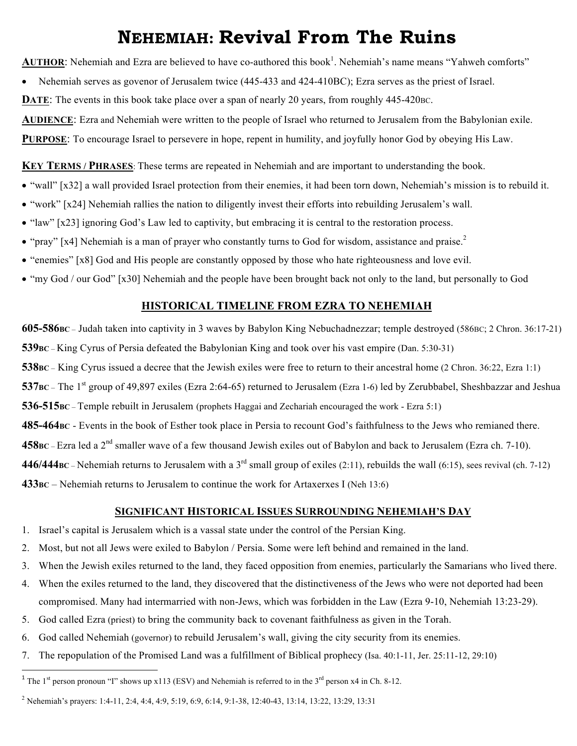# **NEHEMIAH: Revival From The Ruins**

AUTHOR: Nehemiah and Ezra are believed to have co-authored this book<sup>1</sup>. Nehemiah's name means "Yahweh comforts"

• Nehemiah serves as govenor of Jerusalem twice (445-433 and 424-410BC); Ezra serves as the priest of Israel.

**DATE:** The events in this book take place over a span of nearly 20 years, from roughly 445-420BC.

**AUDIENCE**: Ezra and Nehemiah were written to the people of Israel who returned to Jerusalem from the Babylonian exile.

**PURPOSE:** To encourage Israel to persevere in hope, repent in humility, and joyfully honor God by obeying His Law.

**KEY TERMS / PHRASES**: These terms are repeated in Nehemiah and are important to understanding the book.

- "wall" [x32] a wall provided Israel protection from their enemies, it had been torn down, Nehemiah's mission is to rebuild it.
- "work" [x24] Nehemiah rallies the nation to diligently invest their efforts into rebuilding Jerusalem's wall.
- "law" [x23] ignoring God's Law led to captivity, but embracing it is central to the restoration process.
- "pray" [x4] Nehemiah is a man of prayer who constantly turns to God for wisdom, assistance and praise.<sup>2</sup>
- "enemies" [x8] God and His people are constantly opposed by those who hate righteousness and love evil.
- "my God / our God" [x30] Nehemiah and the people have been brought back not only to the land, but personally to God

#### **HISTORICAL TIMELINE FROM EZRA TO NEHEMIAH**

**605-586BC** – Judah taken into captivity in 3 waves by Babylon King Nebuchadnezzar; temple destroyed (586BC; 2 Chron. 36:17-21) **539BC** – King Cyrus of Persia defeated the Babylonian King and took over his vast empire (Dan. 5:30-31) **538BC** – King Cyrus issued a decree that the Jewish exiles were free to return to their ancestral home (2 Chron. 36:22, Ezra 1:1) 537BC – The 1<sup>st</sup> group of 49,897 exiles (Ezra 2:64-65) returned to Jerusalem (Ezra 1-6) led by Zerubbabel, Sheshbazzar and Jeshua **536-515BC** – Temple rebuilt in Jerusalem (prophets Haggai and Zechariah encouraged the work - Ezra 5:1) **485-464BC** - Events in the book of Esther took place in Persia to recount God's faithfulness to the Jews who remianed there. **458BC** – Ezra led a 2nd smaller wave of a few thousand Jewish exiles out of Babylon and back to Jerusalem (Ezra ch. 7-10). **446/444BC** – Nehemiah returns to Jerusalem with a  $3^{rd}$  small group of exiles (2:11), rebuilds the wall (6:15), sees revival (ch. 7-12) **433BC** – Nehemiah returns to Jerusalem to continue the work for Artaxerxes I (Neh 13:6)

#### **SIGNIFICANT HISTORICAL ISSUES SURROUNDING NEHEMIAH'S DAY**

- 1. Israel's capital is Jerusalem which is a vassal state under the control of the Persian King.
- 2. Most, but not all Jews were exiled to Babylon / Persia. Some were left behind and remained in the land.
- 3. When the Jewish exiles returned to the land, they faced opposition from enemies, particularly the Samarians who lived there.
- 4. When the exiles returned to the land, they discovered that the distinctiveness of the Jews who were not deported had been compromised. Many had intermarried with non-Jews, which was forbidden in the Law (Ezra 9-10, Nehemiah 13:23-29).
- 5. God called Ezra (priest) to bring the community back to covenant faithfulness as given in the Torah.
- 6. God called Nehemiah (governor) to rebuild Jerusalem's wall, giving the city security from its enemies.
- 7. The repopulation of the Promised Land was a fulfillment of Biblical prophecy (Isa. 40:1-11, Jer. 25:11-12, 29:10)

 

<sup>&</sup>lt;sup>1</sup> The 1<sup>st</sup> person pronoun "I" shows up x113 (ESV) and Nehemiah is referred to in the  $3^{rd}$  person x4 in Ch. 8-12.

<sup>2</sup> Nehemiah's prayers: 1:4-11, 2:4, 4:4, 4:9, 5:19, 6:9, 6:14, 9:1-38, 12:40-43, 13:14, 13:22, 13:29, 13:31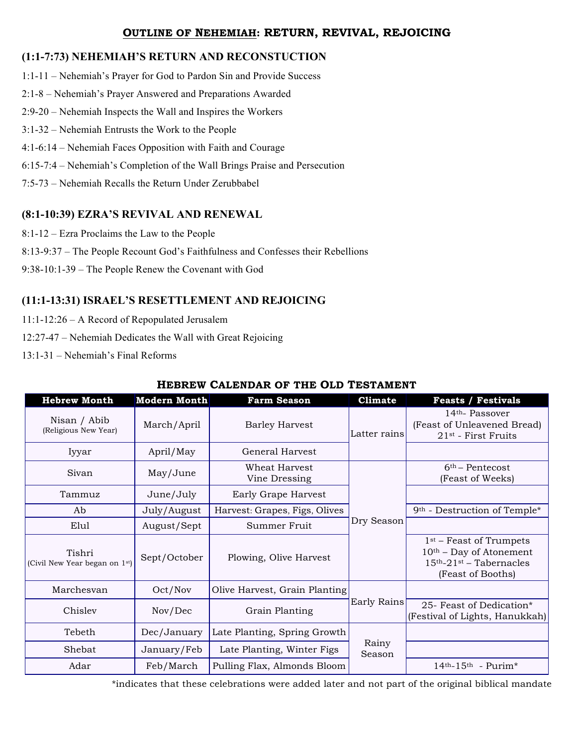#### **OUTLINE OF NEHEMIAH: RETURN, REVIVAL, REJOICING**

## **(1:1-7:73) NEHEMIAH'S RETURN AND RECONSTUCTION**

- 1:1-11 Nehemiah's Prayer for God to Pardon Sin and Provide Success
- 2:1-8 Nehemiah's Prayer Answered and Preparations Awarded
- 2:9-20 Nehemiah Inspects the Wall and Inspires the Workers
- 3:1-32 Nehemiah Entrusts the Work to the People
- 4:1-6:14 Nehemiah Faces Opposition with Faith and Courage
- 6:15-7:4 Nehemiah's Completion of the Wall Brings Praise and Persecution
- 7:5-73 Nehemiah Recalls the Return Under Zerubbabel

## **(8:1-10:39) EZRA'S REVIVAL AND RENEWAL**

- 8:1-12 Ezra Proclaims the Law to the People
- 8:13-9:37 The People Recount God's Faithfulness and Confesses their Rebellions
- 9:38-10:1-39 The People Renew the Covenant with God

# **(11:1-13:31) ISRAEL'S RESETTLEMENT AND REJOICING**

- 11:1-12:26 A Record of Repopulated Jerusalem
- 12:27-47 Nehemiah Dedicates the Wall with Great Rejoicing
- 13:1-31 Nehemiah's Final Reforms

#### **HEBREW CALENDAR OF THE OLD TESTAMENT**

| <b>Hebrew Month</b>                                  | <b>Modern Month</b> | <b>Farm Season</b>             | <b>Climate</b>  | <b>Feasts / Festivals</b>                                                                                  |
|------------------------------------------------------|---------------------|--------------------------------|-----------------|------------------------------------------------------------------------------------------------------------|
| Nisan / Abib<br>(Religious New Year)                 | March/April         | <b>Barley Harvest</b>          | Latter rains    | $14th$ - Passover<br>(Feast of Unleavened Bread)<br>21 <sup>st</sup> - First Fruits                        |
| Iyyar                                                | April/May           | General Harvest                |                 |                                                                                                            |
| Sivan                                                | May/June            | Wheat Harvest<br>Vine Dressing | Dry Season      | $6th$ – Pentecost<br>(Feast of Weeks)                                                                      |
| Tammuz                                               | June/July           | Early Grape Harvest            |                 |                                                                                                            |
| Ab                                                   | July/August         | Harvest: Grapes, Figs, Olives  |                 | 9 <sup>th</sup> - Destruction of Temple*                                                                   |
| Elul                                                 | August/Sept         | Summer Fruit                   |                 |                                                                                                            |
| Tishri<br>(Civil New Year began on 1 <sup>st</sup> ) | Sept/October        | Plowing, Olive Harvest         |                 | $1st$ – Feast of Trumpets<br>$10th$ – Day of Atonement<br>$15th - 21st - Tabernacles$<br>(Feast of Booths) |
| Marchesvan                                           | Oct/Nov             | Olive Harvest, Grain Planting  | Early Rains     |                                                                                                            |
| Chisley                                              | Nov/Dec             | Grain Planting                 |                 | 25- Feast of Dedication*<br>(Festival of Lights, Hanukkah)                                                 |
| Tebeth                                               | Dec/January         | Late Planting, Spring Growth   | Rainy<br>Season |                                                                                                            |
| Shebat                                               | January/Feb         | Late Planting, Winter Figs     |                 |                                                                                                            |
| Adar                                                 | Feb/March           | Pulling Flax, Almonds Bloom    |                 | $14th - 15th - Purim*$                                                                                     |

\*indicates that these celebrations were added later and not part of the original biblical mandate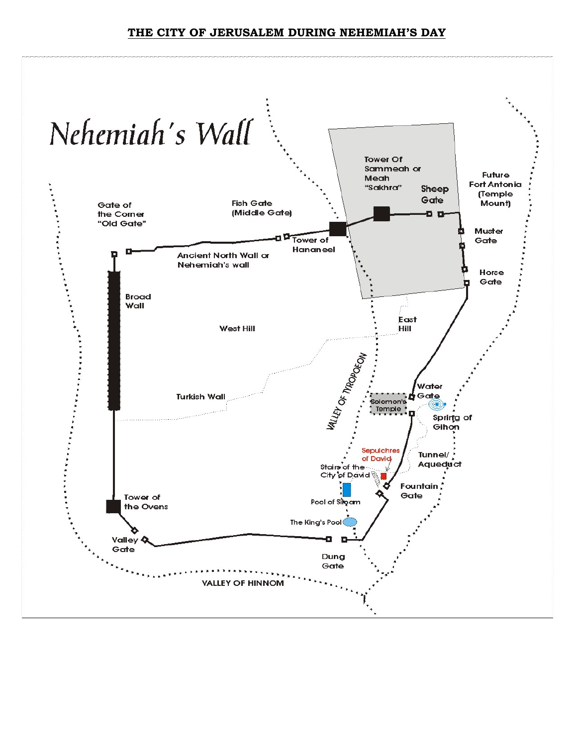#### **THE CITY OF JERUSALEM DURING NEHEMIAH'S DAY**